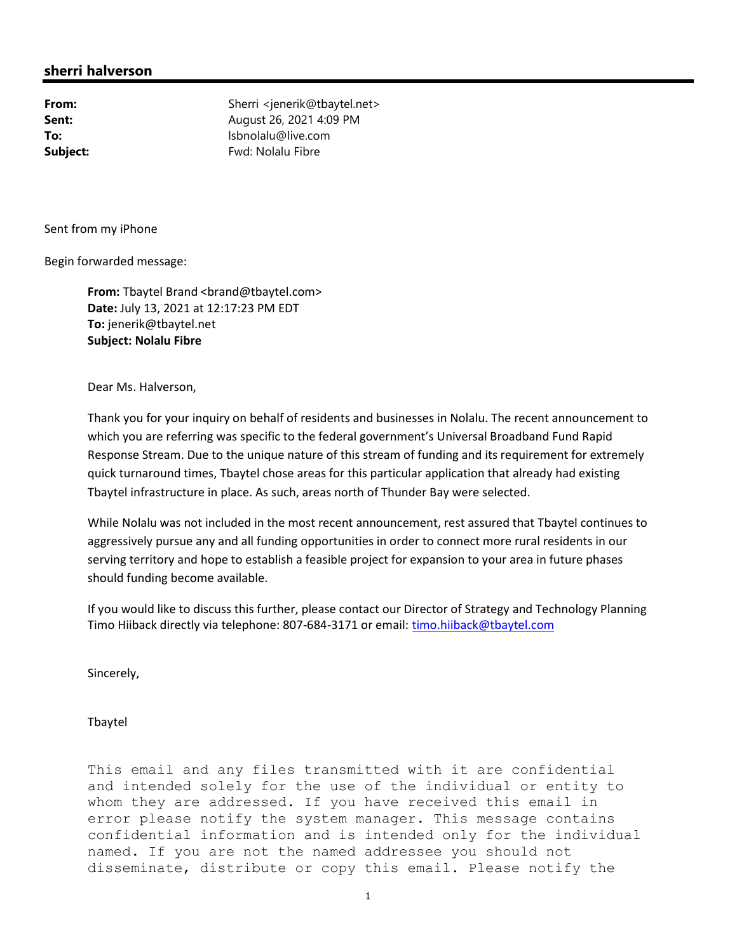## sherri halverson

From: Sherri <jenerik@tbaytel.net> **Sent:** August 26, 2021 4:09 PM **To:** lsbnolalu@live.com Subject: Fwd: Nolalu Fibre

Sent from my iPhone

Begin forwarded message:

From: Tbaytel Brand <br />
combaytel.com> Date: July 13, 2021 at 12:17:23 PM EDT To: jenerik@tbaytel.net Subject: Nolalu Fibre

Dear Ms. Halverson,

Thank you for your inquiry on behalf of residents and businesses in Nolalu. The recent announcement to which you are referring was specific to the federal government's Universal Broadband Fund Rapid Response Stream. Due to the unique nature of this stream of funding and its requirement for extremely quick turnaround times, Tbaytel chose areas for this particular application that already had existing Tbaytel infrastructure in place. As such, areas north of Thunder Bay were selected.

While Nolalu was not included in the most recent announcement, rest assured that Tbaytel continues to aggressively pursue any and all funding opportunities in order to connect more rural residents in our serving territory and hope to establish a feasible project for expansion to your area in future phases should funding become available.

If you would like to discuss this further, please contact our Director of Strategy and Technology Planning Timo Hiiback directly via telephone: 807-684-3171 or email: timo.hiiback@tbaytel.com

Sincerely,

Tbaytel

This email and any files transmitted with it are confidential and intended solely for the use of the individual or entity to whom they are addressed. If you have received this email in error please notify the system manager. This message contains confidential information and is intended only for the individual named. If you are not the named addressee you should not disseminate, distribute or copy this email. Please notify the